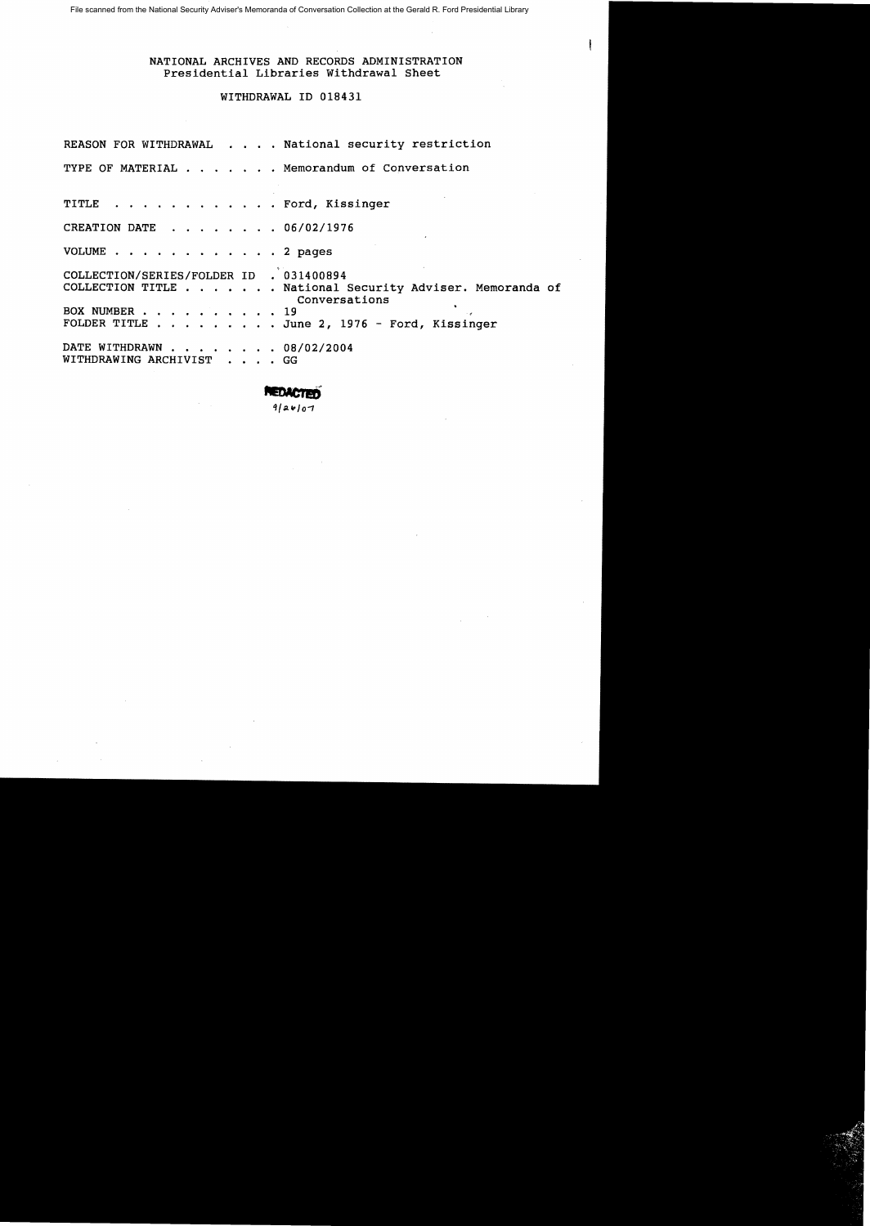File scanned from the National Security Adviser's Memoranda of Conversation Collection at the Gerald R. Ford Presidential Library

### NATIONAL ARCHIVES AND RECORDS ADMINISTRATION Presidential Libraries Withdrawal Sheet

 $\mathbf{I}$ 

### WITHDRAWAL ID 018431

|                                                       | REASON FOR WITHDRAWAL National security restriction                       |
|-------------------------------------------------------|---------------------------------------------------------------------------|
|                                                       | TYPE OF MATERIAL Memorandum of Conversation                               |
| TITLE Ford, Kissinger                                 |                                                                           |
| CREATION DATE 06/02/1976                              |                                                                           |
| VOLUME 2 pages                                        |                                                                           |
| COLLECTION/SERIES/FOLDER ID . 031400894               | COLLECTION TITLE National Security Adviser. Memoranda of<br>Conversations |
| BOX NUMBER 19                                         | FOLDER TITLE $\ldots$ June 2, 1976 - Ford, Kissinger                      |
| DATE WITHDRAWN 08/02/2004<br>WITHDRAWING ARCHIVIST GG |                                                                           |

 $9/24/07$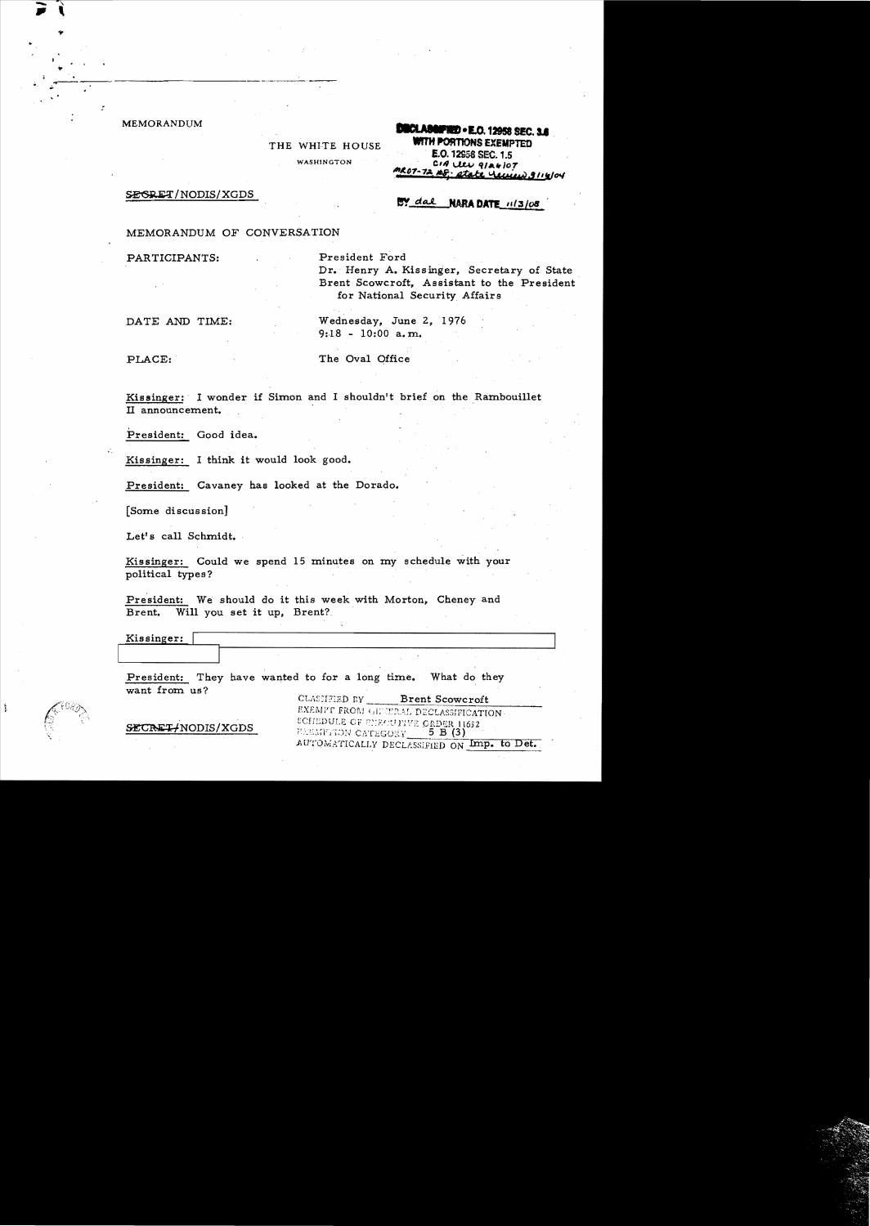MEMORANDUM

:

..

ţ.

THE WHlTE HOUSE WASHINGTON

**.......-1.0. 12958** SIC. 11 . WITH ~SEXEMPTED E.O.12SS8 sec. 1.5 *. CII, I...tLv tll"./OT* CO7-72, 108; state Usuie, 3114/04

SEGRET/NODIS/XGDS

# BY dal NARA DATE 11/3/08

MEMORANDUM OF CONVERSATION

PARTICIPANTS: President Ford Dr. Henry A. Kissinger, Secretary of State Brent Scowcroft, Assistant to the President for National Security Affairs

DATE AND TIME: Wednesday, June 2, 1976

PLACE: The Oval Office

9:18 - 10:00 a. m.

Kissinger: I wonder if Simon and I shouldn't brief on the Rambouillet II announcement.

.<br>President: Good idea.

Kissinger: I think it would look good.

President: Cavaney has looked at the Dorado.

[Some discussionJ

Let's call Schmidt.

Kissinger: Could we spend 15 minutes on my schedule with your political types?

President: We should do it this week with Morton, Cheney and Brent. Will you set it up, Brent?

Kissinger:

President: They have wanted to for a long time. What do they want from us?

CLASSIFIED BY\_\_\_ Brent Scowcroft EXEMPT FROM GIFTERAL DECLASSIFICATION. SCHEDULE OF ENROUTIVE ORDER 11652 **EXEMPTION CATEGORY**  $5 B (3)$ AUTOMATICALLY DECLASSIFIED ON Imp. to Det.

 $\tt SECREF/NODIS/XGDS$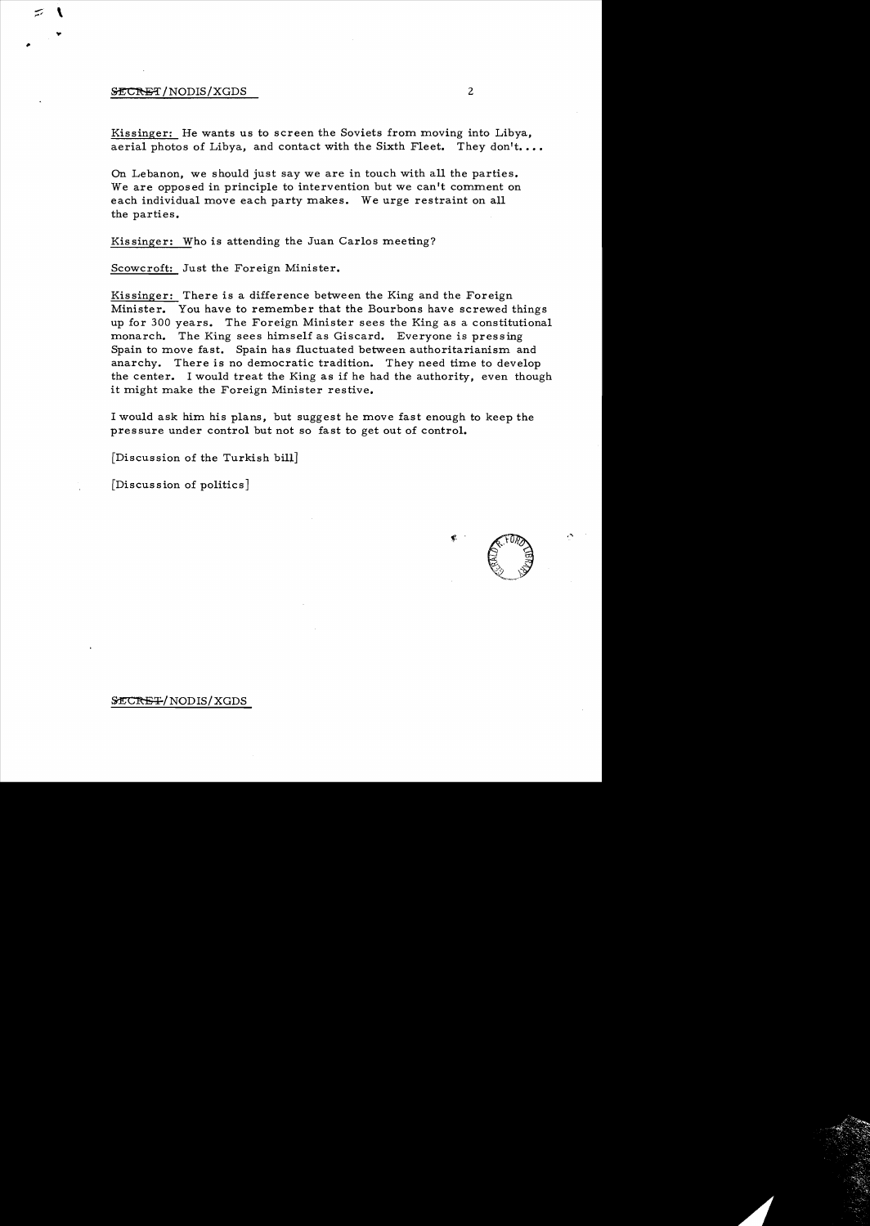#### SECRET/NODIS/XGDS 2

...

Kissinger: He wants us to screen the Soviets from moving into Libya, aerial photos of Libya, and contact with the Sixth Fleet. They don't....

On Lebanon, we should just say we are in touch with all the parties. We are opposed in principle to intervention but we can't comment on each individual move each party makes. We urge restraint on all the parties.

Kissinger: Who is attending the Juan Carlos meeting?

Scowcroft: Just the Foreign Minister.

Kissinger: There is a difference between the King and the Foreign Minister. You have to remember that the Bourbons have screwed things up for 300 years. The Foreign Minister sees the King as a constitutional monarch. The King sees himself as Giscard. Everyone is pressing Spain to move fast. Spain has fluctuated between authoritarianism and anarchy. There is no democratic tradition. They need time to develop the center. I would treat the King as if he had the authority, even though it might make the Foreign Minister restive.

I would ask him his plans, but suggest he move fast enough to keep the pressure under control but not so fast to get out of control.

[Discussion of the Turkish bill]

[Discussion of politics]

f. .

#### SECRET/NODIS/XGDS